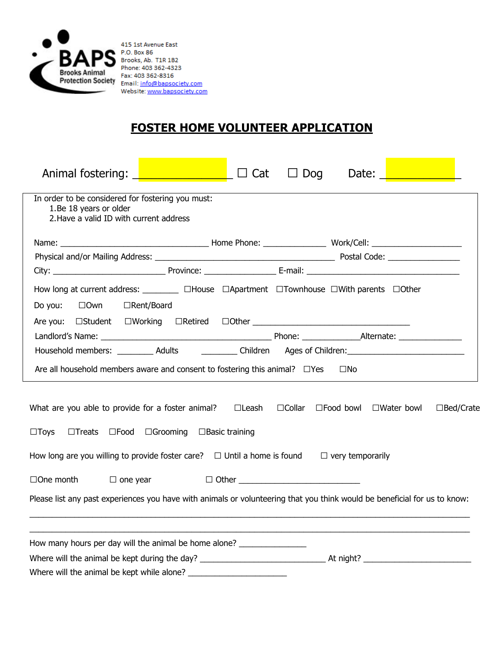

415 1st Avenue East P.O. Box 86<br>Brooks, Ab. T1R 1B2 Phone: 403 362-4323 Fax: 403 362-8316 **Excess Animate** Fax: 403 362-8316<br>**Protection Society** Email: **info@bapsociety.com** Website: www.bapsociety.com

## **FOSTER HOME VOLUNTEER APPLICATION**

| Animal fostering: $\sqrt{2\pi}$ $\sqrt{2\pi}$ $\sqrt{2\pi}$ $\sqrt{2\pi}$ Cat                                                                        |                       |  | $\Box$ Dog | Date: |  |                     |
|------------------------------------------------------------------------------------------------------------------------------------------------------|-----------------------|--|------------|-------|--|---------------------|
| In order to be considered for fostering you must:<br>1.Be 18 years or older<br>2. Have a valid ID with current address                               |                       |  |            |       |  |                     |
|                                                                                                                                                      |                       |  |            |       |  |                     |
|                                                                                                                                                      |                       |  |            |       |  |                     |
|                                                                                                                                                      |                       |  |            |       |  |                     |
| How long at current address: __________ OHouse OApartment OTownhouse OWith parents OOther                                                            |                       |  |            |       |  |                     |
| Do you: $\Box$ Own                                                                                                                                   | □Rent/Board           |  |            |       |  |                     |
|                                                                                                                                                      |                       |  |            |       |  |                     |
|                                                                                                                                                      |                       |  |            |       |  |                     |
| Household members: __________ Adults ____________ Children ___ Ages of Children: ____________________________                                        |                       |  |            |       |  |                     |
| Are all household members aware and consent to fostering this animal? $\square$ Yes $\square$ No                                                     |                       |  |            |       |  |                     |
| What are you able to provide for a foster animal?  □Leash □Collar □Food bowl □Water bowl<br>$\Box$ Toys<br>$\Box$ Treats $\Box$ Food $\Box$ Grooming | $\Box$ Basic training |  |            |       |  | $\square$ Bed/Crate |
| How long are you willing to provide foster care? $\Box$ Until a home is found $\Box$ very temporarily                                                |                       |  |            |       |  |                     |
| $\Box$ One month $\Box$ one year                                                                                                                     |                       |  |            |       |  |                     |
| Please list any past experiences you have with animals or volunteering that you think would be beneficial for us to know:                            |                       |  |            |       |  |                     |
| How many hours per day will the animal be home alone? __________________________                                                                     |                       |  |            |       |  |                     |
|                                                                                                                                                      |                       |  |            |       |  |                     |
|                                                                                                                                                      |                       |  |            |       |  |                     |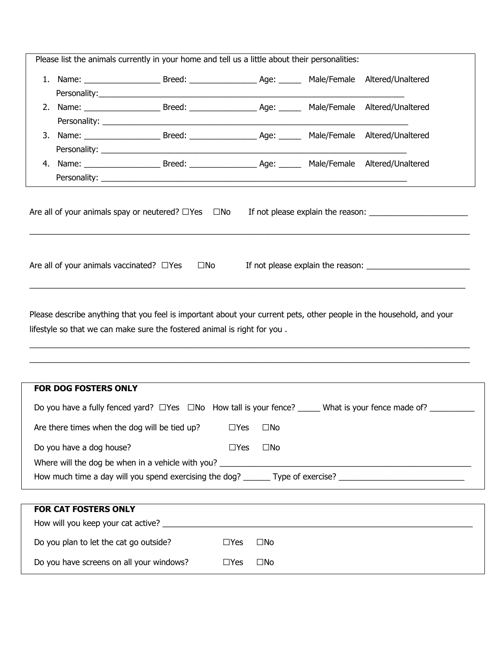| Please list the animals currently in your home and tell us a little about their personalities: |                                                          |            |              |                                                                                                                |
|------------------------------------------------------------------------------------------------|----------------------------------------------------------|------------|--------------|----------------------------------------------------------------------------------------------------------------|
|                                                                                                |                                                          |            |              |                                                                                                                |
|                                                                                                |                                                          |            |              |                                                                                                                |
|                                                                                                |                                                          |            |              |                                                                                                                |
|                                                                                                |                                                          |            |              |                                                                                                                |
|                                                                                                |                                                          |            |              |                                                                                                                |
|                                                                                                |                                                          |            |              |                                                                                                                |
|                                                                                                |                                                          |            |              |                                                                                                                |
|                                                                                                |                                                          |            |              |                                                                                                                |
|                                                                                                |                                                          |            |              | Are all of your animals spay or neutered? $\Box$ Yes $\Box$ No If not please explain the reason: $\Box$        |
|                                                                                                | Are all of your animals vaccinated? $\Box$ Yes $\Box$ No |            |              |                                                                                                                |
|                                                                                                |                                                          |            |              |                                                                                                                |
| lifestyle so that we can make sure the fostered animal is right for you.                       |                                                          |            |              |                                                                                                                |
| FOR DOG FOSTERS ONLY                                                                           |                                                          |            |              |                                                                                                                |
|                                                                                                |                                                          |            |              |                                                                                                                |
| Are there times when the dog will be tied up?                                                  |                                                          | $\Box$ Yes | $\square$ No |                                                                                                                |
| Do you have a dog house?                                                                       |                                                          | $\Box$ Yes | $\square$ No |                                                                                                                |
|                                                                                                |                                                          |            |              |                                                                                                                |
|                                                                                                |                                                          |            |              | How much time a day will you spend exercising the dog? _______ Type of exercise? _____________________________ |
|                                                                                                |                                                          |            |              |                                                                                                                |
| FOR CAT FOSTERS ONLY                                                                           |                                                          |            |              |                                                                                                                |
|                                                                                                |                                                          |            |              |                                                                                                                |
| Do you plan to let the cat go outside?                                                         |                                                          | $\Box$ Yes | $\square$ No |                                                                                                                |